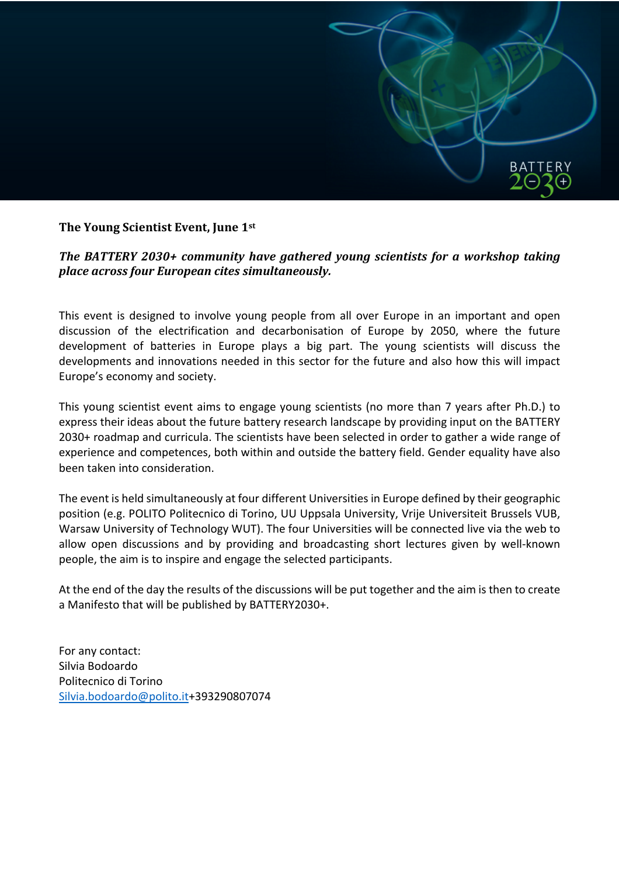

## **The Young Scientist Event, June 1st**

## **The BATTERY 2030+ community have gathered voung scientists for a workshop taking** *place across four European cites simultaneously.*

This event is designed to involve young people from all over Europe in an important and open discussion of the electrification and decarbonisation of Europe by 2050, where the future development of batteries in Europe plays a big part. The young scientists will discuss the developments and innovations needed in this sector for the future and also how this will impact Europe's economy and society.

This young scientist event aims to engage young scientists (no more than 7 years after Ph.D.) to express their ideas about the future battery research landscape by providing input on the BATTERY 2030+ roadmap and curricula. The scientists have been selected in order to gather a wide range of experience and competences, both within and outside the battery field. Gender equality have also been taken into consideration.

The event is held simultaneously at four different Universities in Europe defined by their geographic position (e.g. POLITO Politecnico di Torino, UU Uppsala University, Vrije Universiteit Brussels VUB, Warsaw University of Technology WUT). The four Universities will be connected live via the web to allow open discussions and by providing and broadcasting short lectures given by well-known people, the aim is to inspire and engage the selected participants.

At the end of the day the results of the discussions will be put together and the aim is then to create a Manifesto that will be published by BATTERY2030+.

For any contact: Silvia Bodoardo Politecnico di Torino Silvia.bodoardo@polito.it+393290807074